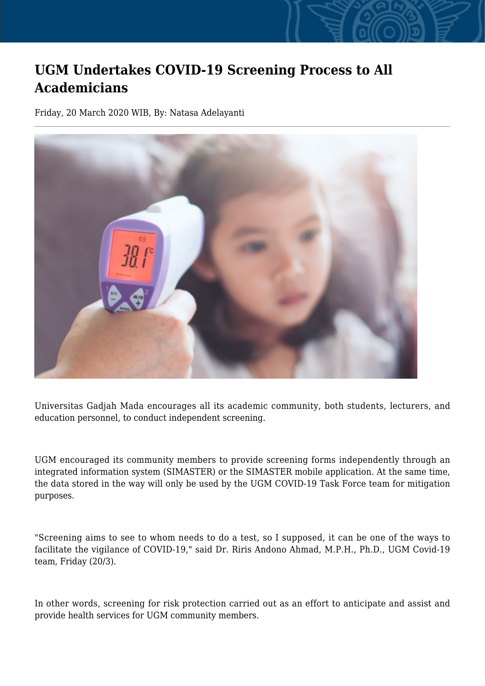## **UGM Undertakes COVID-19 Screening Process to All Academicians**

Friday, 20 March 2020 WIB, By: Natasa Adelayanti



Universitas Gadjah Mada encourages all its academic community, both students, lecturers, and education personnel, to conduct independent screening.

UGM encouraged its community members to provide screening forms independently through an integrated information system (SIMASTER) or the SIMASTER mobile application. At the same time, the data stored in the way will only be used by the UGM COVID-19 Task Force team for mitigation purposes.

"Screening aims to see to whom needs to do a test, so I supposed, it can be one of the ways to facilitate the vigilance of COVID-19," said Dr. Riris Andono Ahmad, M.P.H., Ph.D., UGM Covid-19 team, Friday (20/3).

In other words, screening for risk protection carried out as an effort to anticipate and assist and provide health services for UGM community members.